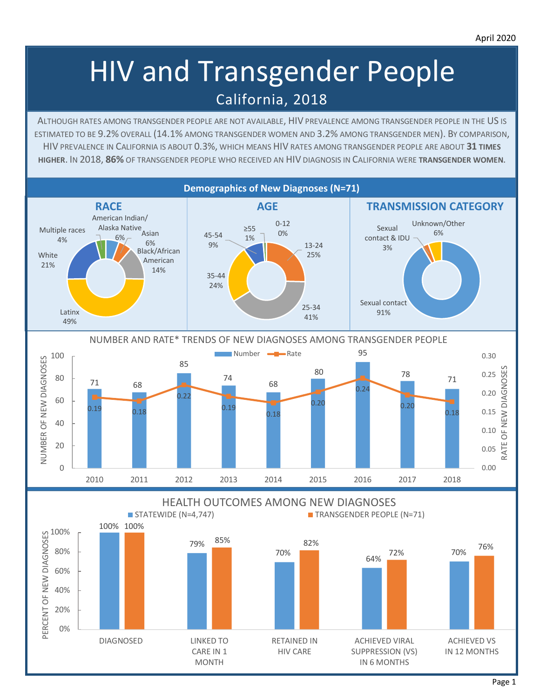# HIV and Transgender People California, 2018

ALTHOUGH RATES AMONG TRANSGENDER PEOPLE ARE NOT AVAILABLE, HIV PREVALENCE AMONG TRANSGENDER PEOPLE IN THE US IS ESTIMATED TO BE 9.2% OVERALL (14.1% AMONG TRANSGENDER WOMEN AND 3.2% AMONG TRANSGENDER MEN). BY COMPARISON, HIV PREVALENCE IN CALIFORNIA IS ABOUT 0.3%, WHICH MEANS HIV RATES AMONG TRANSGENDER PEOPLE ARE ABOUT **31 TIMES HIGHER**. IN 2018, **86%** OF TRANSGENDER PEOPLE WHO RECEIVED AN HIV DIAGNOSIS IN CALIFORNIA WERE **TRANSGENDER WOMEN**.

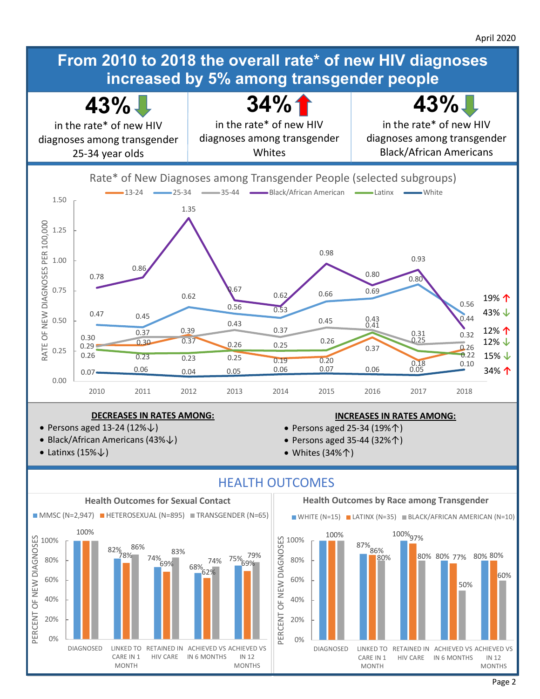

#### **DECREASES IN RATES AMONG:**

- Persons aged 13-24 (12%↓)
- Black/African Americans (43%↓)
- Latinxs  $(15\% \downarrow)$

## **INCREASES IN RATES AMONG:**

- Persons aged 25-34 (19%↑)
- Persons aged 35-44 (32%↑)
- Whites (34%↑)



# HEALTH OUTCOMES





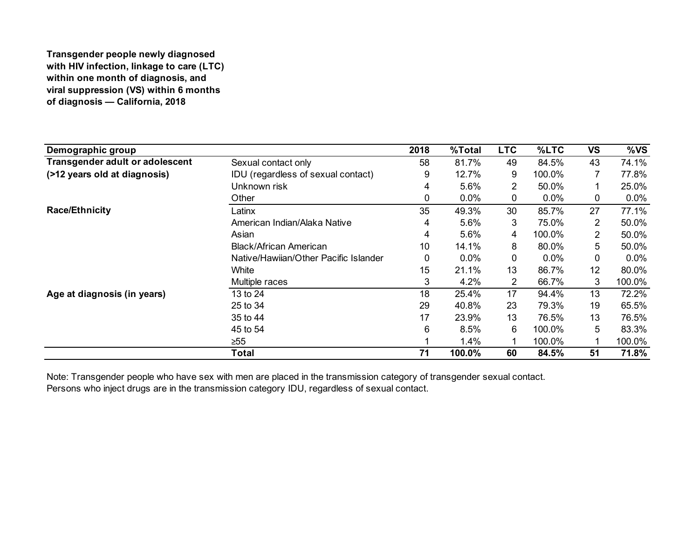### **Transgender people newly diagnosed with HIV infection, linkage to care (LTC) within one month of diagnosis, and viral suppression (VS) within 6 months of diagnosis — California, 2018**

| Demographic group                      |                                       | 2018 | %Total | <b>LTC</b>     | %LTC    | <b>VS</b>      | %VS     |
|----------------------------------------|---------------------------------------|------|--------|----------------|---------|----------------|---------|
| <b>Transgender adult or adolescent</b> | Sexual contact only                   | 58   | 81.7%  | 49             | 84.5%   | 43             | 74.1%   |
| (>12 years old at diagnosis)           | IDU (regardless of sexual contact)    | 9    | 12.7%  | 9              | 100.0%  | 7              | 77.8%   |
|                                        | Unknown risk                          | 4    | 5.6%   | $\overline{2}$ | 50.0%   |                | 25.0%   |
|                                        | Other                                 | 0    | 0.0%   | $\mathbf 0$    | $0.0\%$ | 0              | 0.0%    |
| <b>Race/Ethnicity</b>                  | Latinx                                | 35   | 49.3%  | 30             | 85.7%   | 27             | 77.1%   |
|                                        | American Indian/Alaka Native          | 4    | 5.6%   | 3              | 75.0%   | $\overline{2}$ | 50.0%   |
|                                        | Asian                                 | 4    | 5.6%   | 4              | 100.0%  | $\overline{2}$ | 50.0%   |
|                                        | <b>Black/African American</b>         | 10   | 14.1%  | 8              | 80.0%   | 5              | 50.0%   |
|                                        | Native/Hawijan/Other Pacific Islander | 0    | 0.0%   | 0              | 0.0%    | 0              | $0.0\%$ |
|                                        | White                                 | 15   | 21.1%  | 13             | 86.7%   | 12             | 80.0%   |
|                                        | Multiple races                        | 3    | 4.2%   | $\overline{2}$ | 66.7%   | 3              | 100.0%  |
| Age at diagnosis (in years)            | 13 to 24                              | 18   | 25.4%  | 17             | 94.4%   | 13             | 72.2%   |
|                                        | 25 to 34                              | 29   | 40.8%  | 23             | 79.3%   | 19             | 65.5%   |
|                                        | 35 to 44                              | 17   | 23.9%  | 13             | 76.5%   | 13             | 76.5%   |
|                                        | 45 to 54                              | 6    | 8.5%   | 6              | 100.0%  | 5              | 83.3%   |
|                                        | $\geq 55$                             |      | 1.4%   |                | 100.0%  |                | 100.0%  |
|                                        | <b>Total</b>                          | 71   | 100.0% | 60             | 84.5%   | 51             | 71.8%   |

Note: Transgender people who have sex with men are placed in the transmission category of transgender sexual contact.

Persons who inject drugs are in the transmission category IDU, regardless of sexual contact.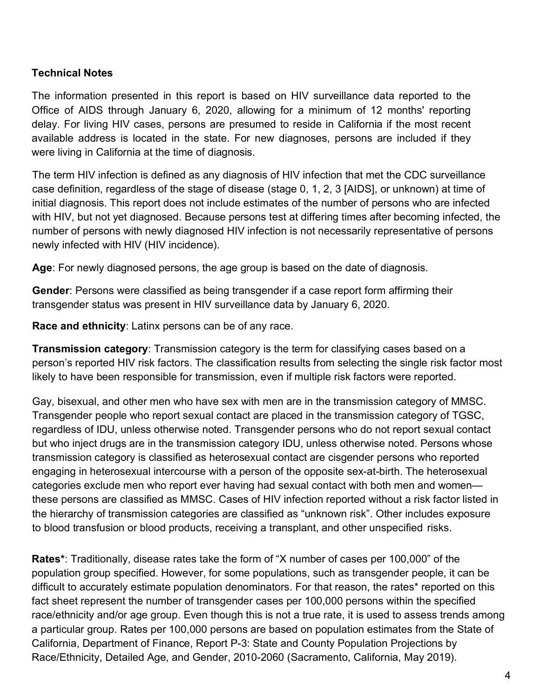## **Technical Notes**

The information presented in this report is based on HIV surveillance data reported to the Office of AIDS through January 6, 2020, allowing for a minimum of 12 months' reporting delay. For living HIV cases, persons are presumed to reside in California if the most recent available address is located in the state. For new diagnoses, persons are included if they were living in California at the time of diagnosis.

The term HIV infection is defined as any diagnosis of HIV infection that met the CDC surveillance case definition, regardless of the stage of disease (stage 0, 1, 2, 3 [AIDS], or unknown) at time of initial diagnosis. This report does not include estimates of the number of persons who are infected with HIV, but not yet diagnosed. Because persons test at differing times after becoming infected, the number of persons with newly diagnosed HIV infection is not necessarily representative of persons newly infected with HIV (HIV incidence).

**Age**: For newly diagnosed persons, the age group is based on the date of diagnosis.

**Gender**: Persons were classified as being transgender if a case report form affirming their transgender status was present in HIV surveillance data by January 6, 2020.

**Race and ethnicity**: Latinx persons can be of any race.

**Transmission category**: Transmission category is the term for classifying cases based on a person's reported HIV risk factors. The classification results from selecting the single risk factor most likely to have been responsible for transmission, even if multiple risk factors were reported.

Gay, bisexual, and other men who have sex with men are in the transmission category of MMSC. Transgender people who report sexual contact are placed in the transmission category of TGSC, regardless of IDU, unless otherwise noted. Transgender persons who do not report sexual contact but who inject drugs are in the transmission category IDU, unless otherwise noted. Persons whose transmission category is classified as heterosexual contact are cisgender persons who reported engaging in heterosexual intercourse with a person of the opposite sex-at-birth. The heterosexual categories exclude men who report ever having had sexual contact with both men and women these persons are classified as MMSC. Cases of HIV infection reported without a risk factor listed in the hierarchy of transmission categories are classified as "unknown risk". Other includes exposure to blood transfusion or blood products, receiving a transplant, and other unspecified risks.

**Rates\***: Traditionally, disease rates take the form of "X number of cases per 100,000" of the population group specified. However, for some populations, such as transgender people, it can be difficult to accurately estimate population denominators. For that reason, the rates\* reported on this fact sheet represent the number of transgender cases per 100,000 persons within the specified race/ethnicity and/or age group. Even though this is not a true rate, it is used to assess trends among a particular group. Rates per 100,000 persons are based on population estimates from the State of California, Department of Finance, Report P-3: State and County Population Projections by Race/Ethnicity, Detailed Age, and Gender, 2010-2060 (Sacramento, California, May 2019).